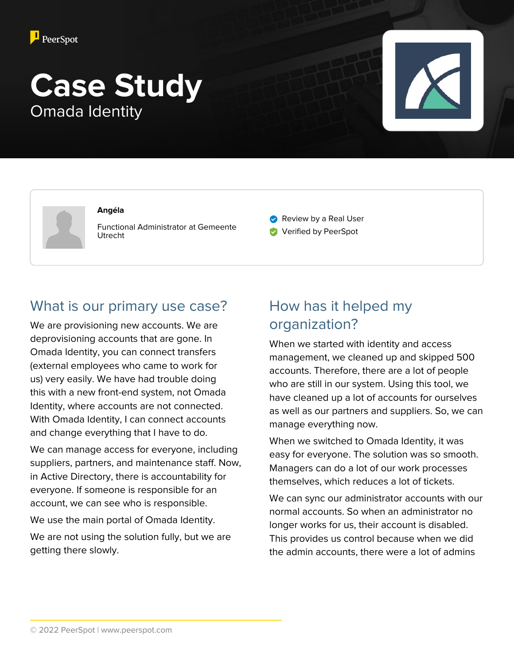

# **Case Study** Omada Identity



#### **Angéla**

Functional Administrator at Gemeente Utrecht

- Review by a Real User
- **Verified by PeerSpot**

#### What is our primary use case?

We are provisioning new accounts. We are deprovisioning accounts that are gone. In Omada Identity, you can connect transfers (external employees who came to work for us) very easily. We have had trouble doing this with a new front-end system, not Omada Identity, where accounts are not connected. With Omada Identity, I can connect accounts and change everything that I have to do.

We can manage access for everyone, including suppliers, partners, and maintenance staff. Now, in Active Directory, there is accountability for everyone. If someone is responsible for an account, we can see who is responsible.

We use the main portal of Omada Identity.

We are not using the solution fully, but we are getting there slowly.

## How has it helped my organization?

When we started with identity and access management, we cleaned up and skipped 500 accounts. Therefore, there are a lot of people who are still in our system. Using this tool, we have cleaned up a lot of accounts for ourselves as well as our partners and suppliers. So, we can manage everything now.

When we switched to Omada Identity, it was easy for everyone. The solution was so smooth. Managers can do a lot of our work processes themselves, which reduces a lot of tickets.

We can sync our administrator accounts with our normal accounts. So when an administrator no longer works for us, their account is disabled. This provides us control because when we did the admin accounts, there were a lot of admins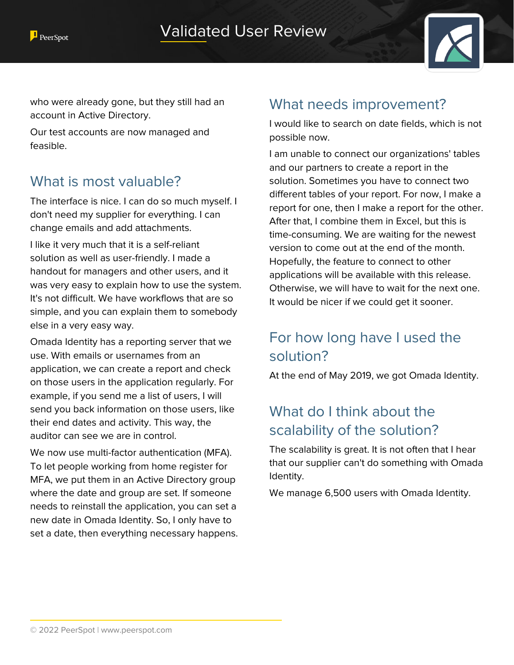

who were already gone, but they still had an account in Active Directory.

Our test accounts are now managed and feasible.

#### What is most valuable?

The interface is nice. I can do so much myself. I don't need my supplier for everything. I can change emails and add attachments.

I like it very much that it is a self-reliant solution as well as user-friendly. I made a handout for managers and other users, and it was very easy to explain how to use the system. It's not difficult. We have workflows that are so simple, and you can explain them to somebody else in a very easy way.

Omada Identity has a reporting server that we use. With emails or usernames from an application, we can create a report and check on those users in the application regularly. For example, if you send me a list of users, I will send you back information on those users, like their end dates and activity. This way, the auditor can see we are in control.

We now use multi-factor authentication (MFA). To let people working from home register for MFA, we put them in an Active Directory group where the date and group are set. If someone needs to reinstall the application, you can set a new date in Omada Identity. So, I only have to set a date, then everything necessary happens.

#### What needs improvement?

I would like to search on date fields, which is not possible now.

I am unable to connect our organizations' tables and our partners to create a report in the solution. Sometimes you have to connect two different tables of your report. For now, I make a report for one, then I make a report for the other. After that, I combine them in Excel, but this is time-consuming. We are waiting for the newest version to come out at the end of the month. Hopefully, the feature to connect to other applications will be available with this release. Otherwise, we will have to wait for the next one. It would be nicer if we could get it sooner.

# For how long have I used the solution?

At the end of May 2019, we got Omada Identity.

## What do I think about the scalability of the solution?

The scalability is great. It is not often that I hear that our supplier can't do something with Omada Identity.

We manage 6,500 users with Omada Identity.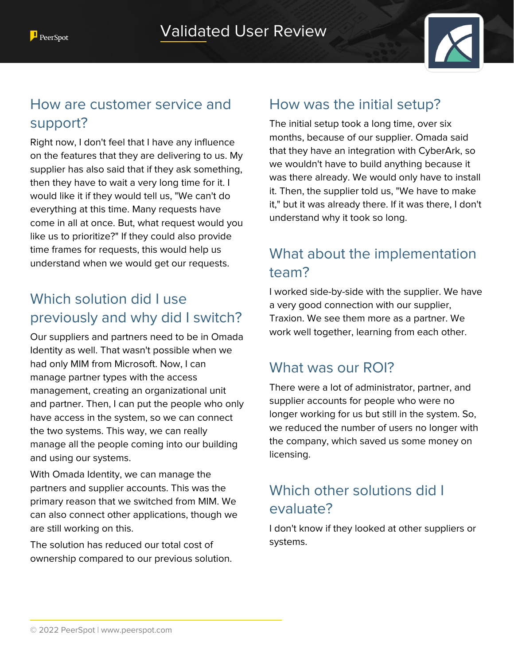

## How are customer service and support?

Right now, I don't feel that I have any influence on the features that they are delivering to us. My supplier has also said that if they ask something, then they have to wait a very long time for it. I would like it if they would tell us, "We can't do everything at this time. Many requests have come in all at once. But, what request would you like us to prioritize?" If they could also provide time frames for requests, this would help us understand when we would get our requests.

#### Which solution did I use previously and why did I switch?

Our suppliers and partners need to be in Omada Identity as well. That wasn't possible when we had only MIM from Microsoft. Now, I can manage partner types with the access management, creating an organizational unit and partner. Then, I can put the people who only have access in the system, so we can connect the two systems. This way, we can really manage all the people coming into our building and using our systems.

With Omada Identity, we can manage the partners and supplier accounts. This was the primary reason that we switched from MIM. We can also connect other applications, though we are still working on this.

The solution has reduced our total cost of ownership compared to our previous solution.

#### How was the initial setup?

The initial setup took a long time, over six months, because of our supplier. Omada said that they have an integration with CyberArk, so we wouldn't have to build anything because it was there already. We would only have to install it. Then, the supplier told us, "We have to make it," but it was already there. If it was there, I don't understand why it took so long.

# What about the implementation team?

I worked side-by-side with the supplier. We have a very good connection with our supplier, Traxion. We see them more as a partner. We work well together, learning from each other.

#### What was our ROI?

There were a lot of administrator, partner, and supplier accounts for people who were no longer working for us but still in the system. So, we reduced the number of users no longer with the company, which saved us some money on licensing.

## Which other solutions did I evaluate?

I don't know if they looked at other suppliers or systems.